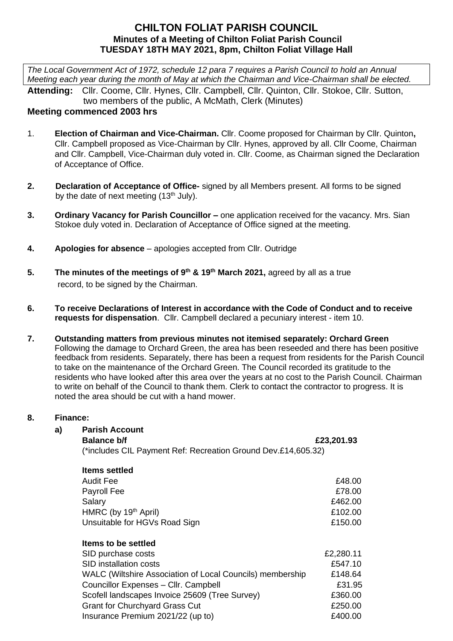## **CHILTON FOLIAT PARISH COUNCIL Minutes of a Meeting of Chilton Foliat Parish Council TUESDAY 18TH MAY 2021, 8pm, Chilton Foliat Village Hall**

*The Local Government Act of 1972, schedule 12 para 7 requires a Parish Council to hold an Annual Meeting each year during the month of May at which the Chairman and Vice-Chairman shall be elected.*

**Attending:** Cllr. Coome, Cllr. Hynes, Cllr. Campbell, Cllr. Quinton, Cllr. Stokoe, Cllr. Sutton, two members of the public, A McMath, Clerk (Minutes)

# **Meeting commenced 2003 hrs**

- 1. **Election of Chairman and Vice-Chairman.** Cllr. Coome proposed for Chairman by Cllr. Quinton**,** Cllr. Campbell proposed as Vice-Chairman by Cllr. Hynes, approved by all. Cllr Coome, Chairman and Cllr. Campbell, Vice-Chairman duly voted in. Cllr. Coome, as Chairman signed the Declaration of Acceptance of Office.
- **2. Declaration of Acceptance of Office-** signed by all Members present. All forms to be signed by the date of next meeting  $(13<sup>th</sup>$  July).
- **3. Ordinary Vacancy for Parish Councillor –** one application received for the vacancy. Mrs. Sian Stokoe duly voted in. Declaration of Acceptance of Office signed at the meeting.
- **4. Apologies for absence**  apologies accepted from Cllr. Outridge
- **5.** The minutes of the meetings of 9<sup>th</sup> & 19<sup>th</sup> March 2021, agreed by all as a true record, to be signed by the Chairman.
- **6. To receive Declarations of Interest in accordance with the Code of Conduct and to receive requests for dispensation**. Cllr. Campbell declared a pecuniary interest - item 10.
- **7. Outstanding matters from previous minutes not itemised separately: Orchard Green** Following the damage to Orchard Green, the area has been reseeded and there has been positive feedback from residents. Separately, there has been a request from residents for the Parish Council to take on the maintenance of the Orchard Green. The Council recorded its gratitude to the residents who have looked after this area over the years at no cost to the Parish Council. Chairman to write on behalf of the Council to thank them. Clerk to contact the contractor to progress. It is noted the area should be cut with a hand mower.

### **8. Finance:**

### **a) Parish Account**

**Balance b/f** *Balance b/f Balance b/f Balance b/f Balance b/f Balance b/f Balance b/f Balance b/f Balance b/f Balance b/f Balance b/f Balance b/f Balance b/f Balance b/f*

(\*includes CIL Payment Ref: Recreation Ground Dev.£14,605.32)

| <b>Items settled</b>                                      |           |
|-----------------------------------------------------------|-----------|
| Audit Fee                                                 | £48.00    |
| Payroll Fee                                               | £78.00    |
| Salary                                                    | £462.00   |
| HMRC (by 19 <sup>th</sup> April)                          | £102.00   |
| Unsuitable for HGVs Road Sign                             | £150.00   |
| Items to be settled                                       |           |
| SID purchase costs                                        | £2,280.11 |
| SID installation costs                                    | £547.10   |
| WALC (Wiltshire Association of Local Councils) membership | £148.64   |
| Councillor Expenses - Cllr. Campbell                      | £31.95    |
| Scofell landscapes Invoice 25609 (Tree Survey)            | £360.00   |
| <b>Grant for Churchyard Grass Cut</b>                     | £250.00   |
| Insurance Premium 2021/22 (up to)                         | £400.00   |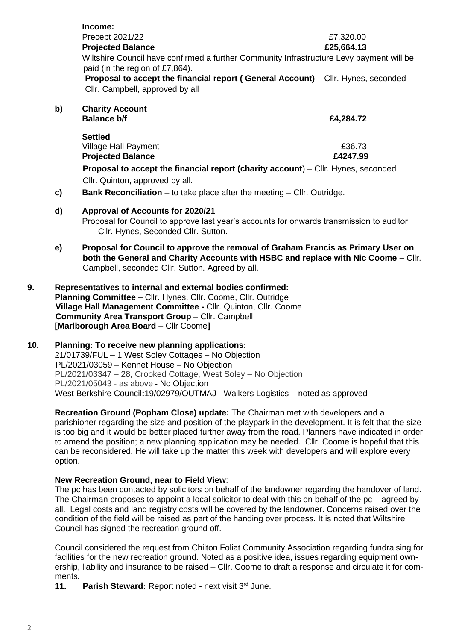|    | Income:                                                                                                                     |            |  |
|----|-----------------------------------------------------------------------------------------------------------------------------|------------|--|
|    | Precept 2021/22                                                                                                             | £7,320.00  |  |
|    | <b>Projected Balance</b>                                                                                                    | £25,664.13 |  |
|    | Wiltshire Council have confirmed a further Community Infrastructure Levy payment will be<br>paid (in the region of £7,864). |            |  |
|    | <b>Proposal to accept the financial report (General Account)</b> – Cllr. Hynes, seconded<br>Cllr. Campbell, approved by all |            |  |
| b) | <b>Charity Account</b>                                                                                                      |            |  |
|    | <b>Balance b/f</b>                                                                                                          | £4,284.72  |  |
|    | <b>Settled</b>                                                                                                              |            |  |
|    | <b>Village Hall Payment</b>                                                                                                 | £36.73     |  |
|    | <b>Projected Balance</b>                                                                                                    | £4247.99   |  |
|    | <b>Proposal to accept the financial report (charity account)</b> – Cllr. Hynes, seconded                                    |            |  |
|    | Cllr. Quinton, approved by all.                                                                                             |            |  |
|    |                                                                                                                             |            |  |

**c) Bank Reconciliation** – to take place after the meeting – Cllr. Outridge.

### **d) Approval of Accounts for 2020/21**

Proposal for Council to approve last year's accounts for onwards transmission to auditor Cllr. Hynes, Seconded Cllr. Sutton.

- **e) Proposal for Council to approve the removal of Graham Francis as Primary User on both the General and Charity Accounts with HSBC and replace with Nic Coome** – Cllr. Campbell, seconded Cllr. Sutton. Agreed by all.
- **9. Representatives to internal and external bodies confirmed: Planning Committee** – Cllr. Hynes, Cllr. Coome, Cllr. Outridge  **Village Hall Management Committee -** Cllr. Quinton, Cllr. Coome **Community Area Transport Group - Cllr. Campbell [Marlborough Area Board** – Cllr Coome**]**

## **10. Planning: To receive new planning applications:**

21/01739/FUL – 1 West Soley Cottages – No Objection PL/2021/03059 – Kennet House – No Objection PL/2021/03347 – 28, Crooked Cottage, West Soley – No Objection PL/2021/05043 - as above - No Objection West Berkshire Council**:**19/02979/OUTMAJ - Walkers Logistics – noted as approved

**Recreation Ground (Popham Close) update:** The Chairman met with developers and a parishioner regarding the size and position of the playpark in the development. It is felt that the size is too big and it would be better placed further away from the road. Planners have indicated in order to amend the position; a new planning application may be needed. Cllr. Coome is hopeful that this can be reconsidered. He will take up the matter this week with developers and will explore every option.

### **New Recreation Ground, near to Field View**:

The pc has been contacted by solicitors on behalf of the landowner regarding the handover of land. The Chairman proposes to appoint a local solicitor to deal with this on behalf of the pc – agreed by all. Legal costs and land registry costs will be covered by the landowner. Concerns raised over the condition of the field will be raised as part of the handing over process. It is noted that Wiltshire Council has signed the recreation ground off.

Council considered the request from Chilton Foliat Community Association regarding fundraising for facilities for the new recreation ground. Noted as a positive idea, issues regarding equipment ownership, liability and insurance to be raised – Cllr. Coome to draft a response and circulate it for comments**.**

**11. Parish Steward:** Report noted - next visit 3rd June.